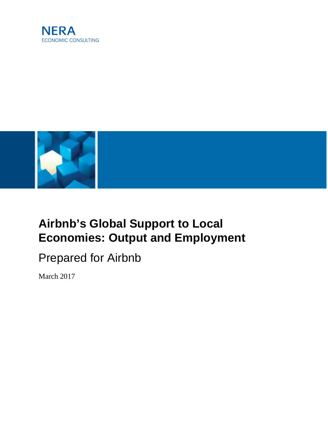



# <span id="page-0-0"></span>**Airbnb's Global Support to Local Economies: Output and Employment**

# Prepared for Airbnb

March 2017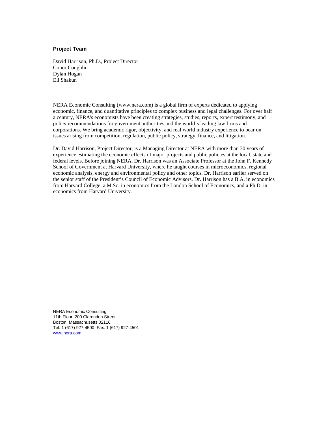#### **Project Team**

David Harrison, Ph.D., Project Director Conor Coughlin Dylan Hogan Eli Shakun

NERA Economic Consulting (www.nera.com) is a global firm of experts dedicated to applying economic, finance, and quantitative principles to complex business and legal challenges. For over half a century, NERA's economists have been creating strategies, studies, reports, expert testimony, and policy recommendations for government authorities and the world's leading law firms and corporations. We bring academic rigor, objectivity, and real world industry experience to bear on issues arising from competition, regulation, public policy, strategy, finance, and litigation.

Dr. David Harrison, Project Director, is a Managing Director at NERA with more than 30 years of experience estimating the economic effects of major projects and public policies at the local, state and federal levels. Before joining NERA, Dr. Harrison was an Associate Professor at the John F. Kennedy School of Government at Harvard University, where he taught courses in microeconomics, regional economic analysis, energy and environmental policy and other topics. Dr. Harrison earlier served on the senior staff of the President's Council of Economic Advisors. Dr. Harrison has a B.A. in economics from Harvard College, a M.Sc. in economics from the London School of Economics, and a Ph.D. in economics from Harvard University.

NERA Economic Consulting 11th Floor, 200 Clarendon Street Boston, Massachusetts 02116 Tel: 1 (617) 927-4500 Fax: 1 (617) 927-4501 [www.nera.com](http://www.nera.com/)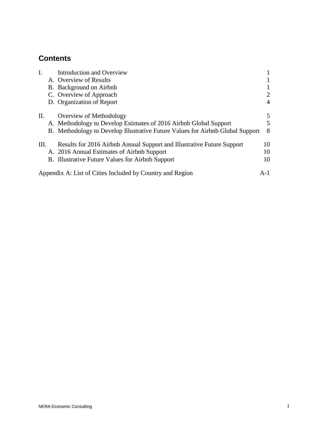# **Contents**

|    | Introduction and Overview                                                      |       |
|----|--------------------------------------------------------------------------------|-------|
|    | A. Overview of Results                                                         |       |
|    | B. Background on Airbnb                                                        |       |
|    | C. Overview of Approach                                                        | 2     |
|    | D. Organization of Report                                                      | 4     |
| П. | Overview of Methodology                                                        | 5     |
|    | A. Methodology to Develop Estimates of 2016 Airbnb Global Support              | 5     |
|    | B. Methodology to Develop Illustrative Future Values for Airbnb Global Support | 8     |
| Ш. | Results for 2016 Airbnb Annual Support and Illustrative Future Support         | 10    |
|    | A. 2016 Annual Estimates of Airbnb Support                                     | 10    |
|    | B. Illustrative Future Values for Airbnb Support                               | 10    |
|    | Appendix A: List of Cities Included by Country and Region                      | $A-1$ |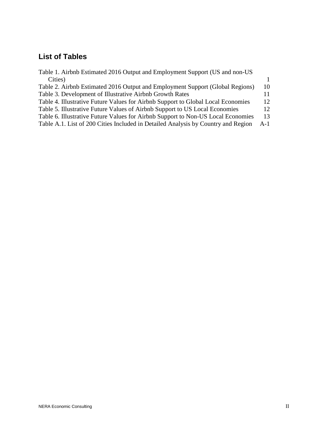# **List of Tables**

| Table 1. Airbnb Estimated 2016 Output and Employment Support (US and non-US       |              |
|-----------------------------------------------------------------------------------|--------------|
| Cities)                                                                           | $\mathbf{1}$ |
| Table 2. Airbnb Estimated 2016 Output and Employment Support (Global Regions)     | 10           |
| Table 3. Development of Illustrative Airbnb Growth Rates                          | 11           |
| Table 4. Illustrative Future Values for Airbnb Support to Global Local Economies  | 12           |
| Table 5. Illustrative Future Values of Airbnb Support to US Local Economies       | 12           |
| Table 6. Illustrative Future Values for Airbnb Support to Non-US Local Economies  | 13           |
| Table A.1. List of 200 Cities Included in Detailed Analysis by Country and Region | $A-1$        |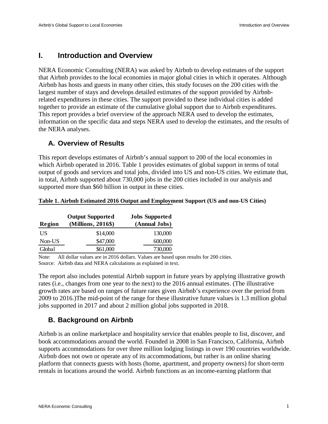# **I. Introduction and Overview**

NERA Economic Consulting (NERA) was asked by Airbnb to develop estimates of the support that Airbnb provides to the local economies in major global cities in which it operates. Although Airbnb has hosts and guests in many other cities, this study focuses on the 200 cities with the largest number of stays and develops detailed estimates of the support provided by Airbnbrelated expenditures in these cities. The support provided to these individual cities is added together to provide an estimate of the cumulative global support due to Airbnb expenditures. This report provides a brief overview of the approach NERA used to develop the estimates, information on the specific data and steps NERA used to develop the estimates, and the results of the NERA analyses.

#### **A. Overview of Results**

This report develops estimates of Airbnb's annual support to 200 of the local economies in which Airbnb operated in 2016. [Table 1](#page-4-0) provides estimates of global support in terms of total output of goods and services and total jobs, divided into US and non-US cities. We estimate that, in total, Airbnb supported about 730,000 jobs in the 200 cities included in our analysis and supported more than \$60 billion in output in these cities.

|        | <b>Output Supported</b> | <b>Jobs Supported</b> |
|--------|-------------------------|-----------------------|
| Region | (Millions, 2016\$)      | (Annual Jobs)         |
| US     | \$14,000                | 130,000               |
| Non-US | \$47,000                | 600,000               |
| Global | \$61,000                | 730,000               |

#### <span id="page-4-0"></span>**Table 1. Airbnb Estimated 2016 Output and Employment Support (US and non-US Cities)**

Note: All dollar values are in 2016 dollars. Values are based upon results for 200 cities. Source: Airbnb data and NERA calculations as explained in text.

The report also includes potential Airbnb support in future years by applying illustrative growth rates (i.e., changes from one year to the next) to the 2016 annual estimates. (The illustrative growth rates are based on ranges of future rates given Airbnb's experience over the period from 2009 to 2016.)The mid-point of the range for these illustrative future values is 1.3 million global jobs supported in 2017 and about 2 million global jobs supported in 2018.

## **B. Background on Airbnb**

Airbnb is an online marketplace and hospitality service that enables people to list, discover, and book accommodations around the world. Founded in 2008 in San Francisco, California, Airbnb supports accommodations for over three million lodging listings in over 190 countries worldwide. Airbnb does not own or operate any of its accommodations, but rather is an online sharing platform that connects guests with hosts (home, apartment, and property owners) for short-term rentals in locations around the world. Airbnb functions as an income-earning platform that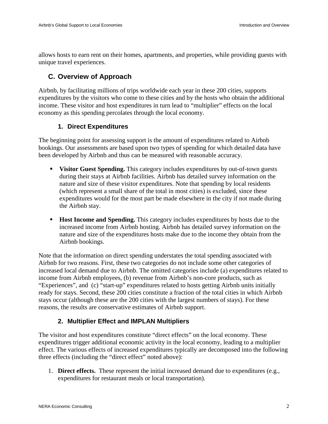allows hosts to earn rent on their homes, apartments, and properties, while providing guests with unique travel experiences.

# **C. Overview of Approach**

Airbnb, by facilitating millions of trips worldwide each year in these 200 cities, supports expenditures by the visitors who come to these cities and by the hosts who obtain the additional income. These visitor and host expenditures in turn lead to "multiplier" effects on the local economy as this spending percolates through the local economy.

### **1. Direct Expenditures**

The beginning point for assessing support is the amount of expenditures related to Airbnb bookings. Our assessments are based upon two types of spending for which detailed data have been developed by Airbnb and thus can be measured with reasonable accuracy.

- **Visitor Guest Spending.** This category includes expenditures by out-of-town guests during their stays at Airbnb facilities. Airbnb has detailed survey information on the nature and size of these visitor expenditures. Note that spending by local residents (which represent a small share of the total in most cities) is excluded, since these expenditures would for the most part be made elsewhere in the city if not made during the Airbnb stay.
- **Host Income and Spending.** This category includes expenditures by hosts due to the increased income from Airbnb hosting. Airbnb has detailed survey information on the nature and size of the expenditures hosts make due to the income they obtain from the Airbnb bookings.

Note that the information on direct spending understates the total spending associated with Airbnb for two reasons. First, these two categories do not include some other categories of increased local demand due to Airbnb. The omitted categories include (a) expenditures related to income from Airbnb employees, (b) revenue from Airbnb's non-core products, such as "Experiences", and (c) "start-up" expenditures related to hosts getting Airbnb units initially ready for stays. Second, these 200 cities constitute a fraction of the total cities in which Airbnb stays occur (although these are the 200 cities with the largest numbers of stays). For these reasons, the results are conservative estimates of Airbnb support.

## **2. Multiplier Effect and IMPLAN Multipliers**

The visitor and host expenditures constitute "direct effects" on the local economy. These expenditures trigger additional economic activity in the local economy, leading to a multiplier effect. The various effects of increased expenditures typically are decomposed into the following three effects (including the "direct effect" noted above):

1. **Direct effects.** These represent the initial increased demand due to expenditures (e.g., expenditures for restaurant meals or local transportation).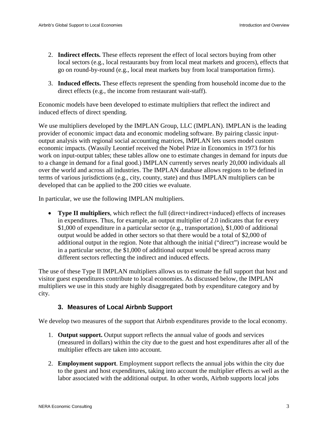- 2. **Indirect effects.** These effects represent the effect of local sectors buying from other local sectors (e.g., local restaurants buy from local meat markets and grocers), effects that go on round-by-round (e.g., local meat markets buy from local transportation firms).
- 3. **Induced effects.** These effects represent the spending from household income due to the direct effects (e.g., the income from restaurant wait-staff).

Economic models have been developed to estimate multipliers that reflect the indirect and induced effects of direct spending.

We use multipliers developed by the IMPLAN Group, LLC (IMPLAN). IMPLAN is the leading provider of economic impact data and economic modeling software. By pairing classic inputoutput analysis with regional social accounting matrices, IMPLAN lets users model custom economic impacts. (Wassily Leontief received the Nobel Prize in Economics in 1973 for his work on input-output tables; these tables allow one to estimate changes in demand for inputs due to a change in demand for a final good.) IMPLAN currently serves nearly 20,000 individuals all over the world and across all industries. The IMPLAN database allows regions to be defined in terms of various jurisdictions (e.g., city, county, state) and thus IMPLAN multipliers can be developed that can be applied to the 200 cities we evaluate.

In particular, we use the following IMPLAN multipliers.

• **Type II multipliers**, which reflect the full (direct+indirect+induced) effects of increases in expenditures. Thus, for example, an output multiplier of 2.0 indicates that for every \$1,000 of expenditure in a particular sector (e.g., transportation), \$1,000 of additional output would be added in other sectors so that there would be a total of \$2,000 of additional output in the region. Note that although the initial ("direct") increase would be in a particular sector, the \$1,000 of additional output would be spread across many different sectors reflecting the indirect and induced effects.

The use of these Type II IMPLAN multipliers allows us to estimate the full support that host and visitor guest expenditures contribute to local economies. As discussed below, the IMPLAN multipliers we use in this study are highly disaggregated both by expenditure category and by city.

#### **3. Measures of Local Airbnb Support**

We develop two measures of the support that Airbnb expenditures provide to the local economy.

- 1. **Output support.** Output support reflects the annual value of goods and services (measured in dollars) within the city due to the guest and host expenditures after all of the multiplier effects are taken into account.
- 2. **Employment support**. Employment support reflects the annual jobs within the city due to the guest and host expenditures, taking into account the multiplier effects as well as the labor associated with the additional output. In other words, Airbnb supports local jobs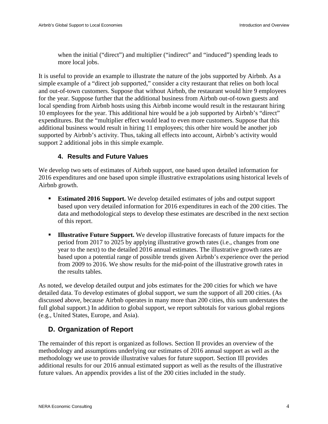when the initial ("direct") and multiplier ("indirect" and "induced") spending leads to more local jobs.

It is useful to provide an example to illustrate the nature of the jobs supported by Airbnb. As a simple example of a "direct job supported," consider a city restaurant that relies on both local and out-of-town customers. Suppose that without Airbnb, the restaurant would hire 9 employees for the year. Suppose further that the additional business from Airbnb out-of-town guests and local spending from Airbnb hosts using this Airbnb income would result in the restaurant hiring 10 employees for the year. This additional hire would be a job supported by Airbnb's "direct" expenditures. But the "multiplier effect would lead to even more customers. Suppose that this additional business would result in hiring 11 employees; this other hire would be another job supported by Airbnb's activity. Thus, taking all effects into account, Airbnb's activity would support 2 additional jobs in this simple example.

#### **4. Results and Future Values**

We develop two sets of estimates of Airbnb support, one based upon detailed information for 2016 expenditures and one based upon simple illustrative extrapolations using historical levels of Airbnb growth.

- **Estimated 2016 Support.** We develop detailed estimates of jobs and output support based upon very detailed information for 2016 expenditures in each of the 200 cities. The data and methodological steps to develop these estimates are described in the next section of this report.
- **Illustrative Future Support.** We develop illustrative forecasts of future impacts for the period from 2017 to 2025 by applying illustrative growth rates (i.e., changes from one year to the next) to the detailed 2016 annual estimates. The illustrative growth rates are based upon a potential range of possible trends given Airbnb's experience over the period from 2009 to 2016. We show results for the mid-point of the illustrative growth rates in the results tables.

As noted, we develop detailed output and jobs estimates for the 200 cities for which we have detailed data. To develop estimates of global support, we sum the support of all 200 cities. (As discussed above, because Airbnb operates in many more than 200 cities, this sum understates the full global support.) In addition to global support, we report subtotals for various global regions (e.g., United States, Europe, and Asia).

# **D. Organization of Report**

The remainder of this report is organized as follows. Section II provides an overview of the methodology and assumptions underlying our estimates of 2016 annual support as well as the methodology we use to provide illustrative values for future support. Section III provides additional results for our 2016 annual estimated support as well as the results of the illustrative future values. An appendix provides a list of the 200 cities included in the study.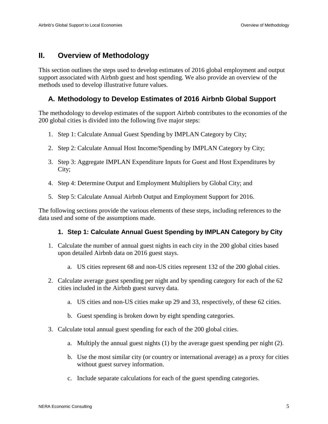# **II. Overview of Methodology**

This section outlines the steps used to develop estimates of 2016 global employment and output support associated with Airbnb guest and host spending. We also provide an overview of the methods used to develop illustrative future values.

### **A. Methodology to Develop Estimates of 2016 Airbnb Global Support**

The methodology to develop estimates of the support Airbnb contributes to the economies of the 200 global cities is divided into the following five major steps:

- 1. Step 1: Calculate Annual Guest Spending by IMPLAN Category by City;
- 2. Step 2: Calculate Annual Host Income/Spending by IMPLAN Category by City;
- 3. Step 3: Aggregate IMPLAN Expenditure Inputs for Guest and Host Expenditures by City;
- 4. Step 4: Determine Output and Employment Multipliers by Global City; and
- 5. Step 5: Calculate Annual Airbnb Output and Employment Support for 2016.

The following sections provide the various elements of these steps, including references to the data used and some of the assumptions made.

#### **1. Step 1: Calculate Annual Guest Spending by IMPLAN Category by City**

- 1. Calculate the number of annual guest nights in each city in the 200 global cities based upon detailed Airbnb data on 2016 guest stays.
	- a. US cities represent 68 and non-US cities represent 132 of the 200 global cities.
- 2. Calculate average guest spending per night and by spending category for each of the 62 cities included in the Airbnb guest survey data.
	- a. US cities and non-US cities make up 29 and 33, respectively, of these 62 cities.
	- b. Guest spending is broken down by eight spending categories.
- 3. Calculate total annual guest spending for each of the 200 global cities.
	- a. Multiply the annual guest nights (1) by the average guest spending per night (2).
	- b. Use the most similar city (or country or international average) as a proxy for cities without guest survey information.
	- c. Include separate calculations for each of the guest spending categories.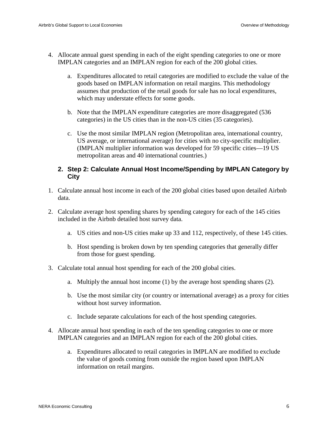- 4. Allocate annual guest spending in each of the eight spending categories to one or more IMPLAN categories and an IMPLAN region for each of the 200 global cities.
	- a. Expenditures allocated to retail categories are modified to exclude the value of the goods based on IMPLAN information on retail margins. This methodology assumes that production of the retail goods for sale has no local expenditures, which may understate effects for some goods.
	- b. Note that the IMPLAN expenditure categories are more disaggregated (536 categories) in the US cities than in the non-US cities (35 categories).
	- c. Use the most similar IMPLAN region (Metropolitan area, international country, US average, or international average) for cities with no city-specific multiplier. (IMPLAN multiplier information was developed for 59 specific cities—19 US metropolitan areas and 40 international countries.)

#### **2. Step 2: Calculate Annual Host Income/Spending by IMPLAN Category by City**

- 1. Calculate annual host income in each of the 200 global cities based upon detailed Airbnb data.
- 2. Calculate average host spending shares by spending category for each of the 145 cities included in the Airbnb detailed host survey data.
	- a. US cities and non-US cities make up 33 and 112, respectively, of these 145 cities.
	- b. Host spending is broken down by ten spending categories that generally differ from those for guest spending.
- 3. Calculate total annual host spending for each of the 200 global cities.
	- a. Multiply the annual host income (1) by the average host spending shares (2).
	- b. Use the most similar city (or country or international average) as a proxy for cities without host survey information.
	- c. Include separate calculations for each of the host spending categories.
- 4. Allocate annual host spending in each of the ten spending categories to one or more IMPLAN categories and an IMPLAN region for each of the 200 global cities.
	- a. Expenditures allocated to retail categories in IMPLAN are modified to exclude the value of goods coming from outside the region based upon IMPLAN information on retail margins.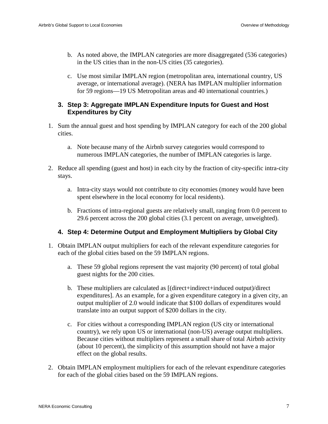- b. As noted above, the IMPLAN categories are more disaggregated (536 categories) in the US cities than in the non-US cities (35 categories).
- c. Use most similar IMPLAN region (metropolitan area, international country, US average, or international average). (NERA has IMPLAN multiplier information for 59 regions—19 US Metropolitan areas and 40 international countries.)

#### **3. Step 3: Aggregate IMPLAN Expenditure Inputs for Guest and Host Expenditures by City**

- 1. Sum the annual guest and host spending by IMPLAN category for each of the 200 global cities.
	- a. Note because many of the Airbnb survey categories would correspond to numerous IMPLAN categories, the number of IMPLAN categories is large.
- 2. Reduce all spending (guest and host) in each city by the fraction of city-specific intra-city stays.
	- a. Intra-city stays would not contribute to city economies (money would have been spent elsewhere in the local economy for local residents).
	- b. Fractions of intra-regional guests are relatively small, ranging from 0.0 percent to 29.6 percent across the 200 global cities (3.1 percent on average, unweighted).

#### **4. Step 4: Determine Output and Employment Multipliers by Global City**

- 1. Obtain IMPLAN output multipliers for each of the relevant expenditure categories for each of the global cities based on the 59 IMPLAN regions.
	- a. These 59 global regions represent the vast majority (90 percent) of total global guest nights for the 200 cities.
	- b. These multipliers are calculated as [(direct+indirect+induced output)/direct expenditures]. As an example, for a given expenditure category in a given city, an output multiplier of 2.0 would indicate that \$100 dollars of expenditures would translate into an output support of \$200 dollars in the city.
	- c. For cities without a corresponding IMPLAN region (US city or international country), we rely upon US or international (non-US) average output multipliers. Because cities without multipliers represent a small share of total Airbnb activity (about 10 percent), the simplicity of this assumption should not have a major effect on the global results.
- 2. Obtain IMPLAN employment multipliers for each of the relevant expenditure categories for each of the global cities based on the 59 IMPLAN regions.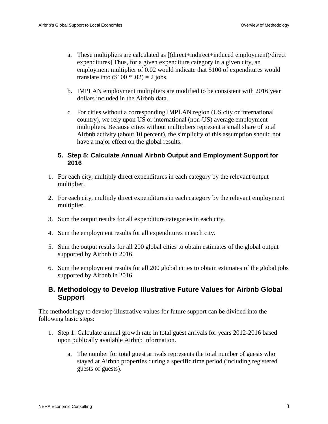- a. These multipliers are calculated as [(direct+indirect+induced employment)/direct expenditures] Thus, for a given expenditure category in a given city, an employment multiplier of 0.02 would indicate that \$100 of expenditures would translate into  $(\$100 * .02) = 2$  jobs.
- b. IMPLAN employment multipliers are modified to be consistent with 2016 year dollars included in the Airbnb data.
- c. For cities without a corresponding IMPLAN region (US city or international country), we rely upon US or international (non-US) average employment multipliers. Because cities without multipliers represent a small share of total Airbnb activity (about 10 percent), the simplicity of this assumption should not have a major effect on the global results.

#### **5. Step 5: Calculate Annual Airbnb Output and Employment Support for 2016**

- 1. For each city, multiply direct expenditures in each category by the relevant output multiplier.
- 2. For each city, multiply direct expenditures in each category by the relevant employment multiplier.
- 3. Sum the output results for all expenditure categories in each city.
- 4. Sum the employment results for all expenditures in each city.
- 5. Sum the output results for all 200 global cities to obtain estimates of the global output supported by Airbnb in 2016.
- 6. Sum the employment results for all 200 global cities to obtain estimates of the global jobs supported by Airbnb in 2016.

## **B. Methodology to Develop Illustrative Future Values for Airbnb Global Support**

The methodology to develop illustrative values for future support can be divided into the following basic steps:

- 1. Step 1: Calculate annual growth rate in total guest arrivals for years 2012-2016 based upon publically available Airbnb information.
	- a. The number for total guest arrivals represents the total number of guests who stayed at Airbnb properties during a specific time period (including registered guests of guests).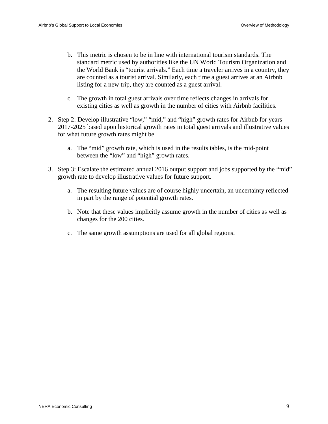- b. This metric is chosen to be in line with international tourism standards. The standard metric used by authorities like the UN World Tourism Organization and the World Bank is "tourist arrivals." Each time a traveler arrives in a country, they are counted as a tourist arrival. Similarly, each time a guest arrives at an Airbnb listing for a new trip, they are counted as a guest arrival.
- c. The growth in total guest arrivals over time reflects changes in arrivals for existing cities as well as growth in the number of cities with Airbnb facilities.
- 2. Step 2: Develop illustrative "low," "mid," and "high" growth rates for Airbnb for years 2017-2025 based upon historical growth rates in total guest arrivals and illustrative values for what future growth rates might be.
	- a. The "mid" growth rate, which is used in the results tables, is the mid-point between the "low" and "high" growth rates.
- 3. Step 3: Escalate the estimated annual 2016 output support and jobs supported by the "mid" growth rate to develop illustrative values for future support.
	- a. The resulting future values are of course highly uncertain, an uncertainty reflected in part by the range of potential growth rates.
	- b. Note that these values implicitly assume growth in the number of cities as well as changes for the 200 cities.
	- c. The same growth assumptions are used for all global regions.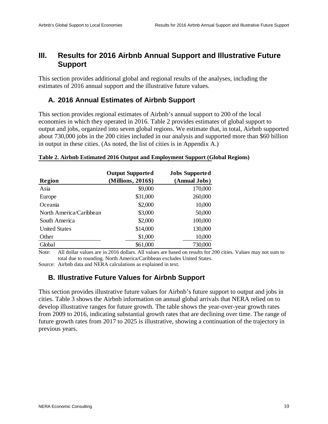# **III. Results for 2016 Airbnb Annual Support and Illustrative Future Support**

This section provides additional global and regional results of the analyses, including the estimates of 2016 annual support and the illustrative future values.

## **A. 2016 Annual Estimates of Airbnb Support**

This section provides regional estimates of Airbnb's annual support to 200 of the local economies in which they operated in 2016. [Table 2](#page-13-0) provides estimates of global support to output and jobs, organized into seven global regions. We estimate that, in total, Airbnb supported about 730,000 jobs in the 200 cities included in our analysis and supported more than \$60 billion in output in these cities. (As noted, the list of cities is in Appendix A.)

#### <span id="page-13-0"></span>**Table 2. Airbnb Estimated 2016 Output and Employment Support (Global Regions)**

| Region                  | <b>Output Supported</b><br>(Millions, 2016\$) | <b>Jobs Supported</b><br>(Annual Jobs) |
|-------------------------|-----------------------------------------------|----------------------------------------|
| Asia                    | \$9,000                                       | 170,000                                |
| Europe                  | \$31,000                                      | 260,000                                |
| Oceania                 | \$2,000                                       | 10,000                                 |
| North America/Caribbean | \$3,000                                       | 50,000                                 |
| South America           | \$2,000                                       | 100,000                                |
| <b>United States</b>    | \$14,000                                      | 130,000                                |
| Other                   | \$1,000                                       | 10,000                                 |
| Global                  | \$61,000                                      | 730,000                                |

Note: All dollar values are in 2016 dollars. All values are based on results for 200 cities. Values may not sum to total due to rounding. North America/Caribbean excludes United States.

Source: Airbnb data and NERA calculations as explained in text.

## **B. Illustrative Future Values for Airbnb Support**

This section provides illustrative future values for Airbnb's future support to output and jobs in cities. [Table 3](#page-14-0) shows the Airbnb information on annual global arrivals that NERA relied on to develop illustrative ranges for future growth. The table shows the year-over-year growth rates from 2009 to 2016, indicating substantial growth rates that are declining over time. The range of future growth rates from 2017 to 2025 is illustrative, showing a continuation of the trajectory in previous years.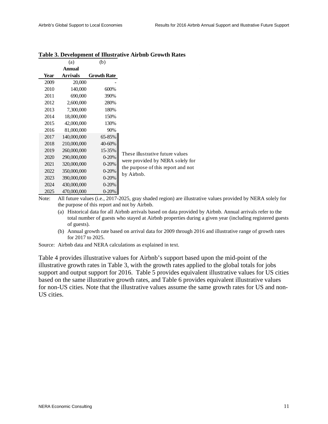|      | (a)           | (b)                |                                                  |  |
|------|---------------|--------------------|--------------------------------------------------|--|
|      | <b>Annual</b> |                    |                                                  |  |
| Year | Arrivals      | <b>Growth Rate</b> |                                                  |  |
| 2009 | 20,000        |                    |                                                  |  |
| 2010 | 140,000       | 600%               |                                                  |  |
| 2011 | 690,000       | 390%               |                                                  |  |
| 2012 | 2,600,000     | 280%               |                                                  |  |
| 2013 | 7,300,000     | 180%               |                                                  |  |
| 2014 | 18,000,000    | 150%               |                                                  |  |
| 2015 | 42,000,000    | 130%               |                                                  |  |
| 2016 | 81,000,000    | 90%                |                                                  |  |
| 2017 | 140,000,000   | 65-85%             |                                                  |  |
| 2018 | 210,000,000   | 40-60%             |                                                  |  |
| 2019 | 260,000,000   | 15-35%             | These illustrative future values                 |  |
| 2020 | 290,000,000   | $0 - 20%$          |                                                  |  |
| 2021 | 320,000,000   | $0 - 20%$          | were provided by NERA solely for                 |  |
| 2022 | 350,000,000   | $0 - 20%$          | the purpose of this report and not<br>by Airbnb. |  |
| 2023 | 390,000,000   | $0 - 20%$          |                                                  |  |
| 2024 | 430,000,000   | $0 - 20%$          |                                                  |  |
| 2025 | 470,000,000   | $0 - 20%$          |                                                  |  |

#### <span id="page-14-0"></span>**Table 3. Development of Illustrative Airbnb Growth Rates**

Note: All future values (i.e., 2017-2025, gray shaded region) are illustrative values provided by NERA solely for the purpose of this report and not by Airbnb.

- (a) Historical data for all Airbnb arrivals based on data provided by Airbnb. Annual arrivals refer to the total number of guests who stayed at Airbnb properties during a given year (including registered guests of guests).
- (b) Annual growth rate based on arrival data for 2009 through 2016 and illustrative range of growth rates for 2017 to 2025.

Source: Airbnb data and NERA calculations as explained in text.

[Table 4](#page-15-0) provides illustrative values for Airbnb's support based upon the mid-point of the illustrative growth rates in [Table 3,](#page-14-0) with the growth rates applied to the global totals for jobs support and output support for 2016. [Table 5](#page-15-1) provides equivalent illustrative values for US cities based on the same illustrative growth rates, and [Table 6](#page-16-0) provides equivalent illustrative values for non-US cities. Note that the illustrative values assume the same growth rates for US and non-US cities.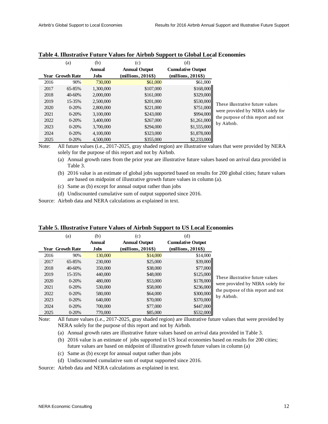|      | (a)              | (b)           | (c)                  | (d)                      |                                                  |
|------|------------------|---------------|----------------------|--------------------------|--------------------------------------------------|
|      |                  | <b>Annual</b> | <b>Annual Output</b> | <b>Cumulative Output</b> |                                                  |
|      | Year Growth Rate | Jobs          | $(millions, 2016\$   | $(millions, 2016\$       |                                                  |
| 2016 | 90%              | 730,000       | \$61,000             | \$61,000                 |                                                  |
| 2017 | 65-85%           | 1,300,000     | \$107,000            | \$168,000                |                                                  |
| 2018 | 40-60%           | 2,000,000     | \$161,000            | \$329,000                |                                                  |
| 2019 | 15-35%           | 2,500,000     | \$201,000            | \$530,000                | These illustrative future values                 |
| 2020 | $0 - 20%$        | 2,800,000     | \$221,000            | \$751,000                |                                                  |
| 2021 | $0 - 20%$        | 3,100,000     | \$243,000            | \$994,000                | were provided by NERA solely for                 |
| 2022 | $0 - 20%$        | 3.400,000     | \$267,000            | \$1,261,000              | the purpose of this report and not<br>by Airbnb. |
| 2023 | $0 - 20%$        | 3,700,000     | \$294,000            | \$1,555,000              |                                                  |
| 2024 | $0 - 20%$        | 4,100,000     | \$323,000            | \$1,878,000              |                                                  |
| 2025 | $0 - 20%$        | 4,500,000     | \$355,000            | \$2,233,000              |                                                  |

#### <span id="page-15-0"></span>**Table 4. Illustrative Future Values for Airbnb Support to Global Local Economies**

Note: All future values (i.e., 2017-2025, gray shaded region) are illustrative values that were provided by NERA solely for the purpose of this report and not by Airbnb.

(a) Annual growth rates from the prior year are illustrative future values based on arrival data provided in [Table 3.](#page-14-0)

- (b) 2016 value is an estimate of global jobs supported based on results for 200 global cities; future values are based on midpoint of illustrative growth future values in column (a).
- (c) Same as (b) except for annual output rather than jobs
- (d) Undiscounted cumulative sum of output supported since 2016.

Source: Airbnb data and NERA calculations as explained in text.

|      | (a)                     | (b)         | (c)                  | (d)                      |                                    |
|------|-------------------------|-------------|----------------------|--------------------------|------------------------------------|
|      |                         | Annual      | <b>Annual Output</b> | <b>Cumulative Output</b> |                                    |
|      | <b>Year</b> Growth Rate | <b>Jobs</b> | $(millions, 2016\$   | $(millions, 2016\$       |                                    |
| 2016 | 90%                     | 130,000     | \$14,000             | \$14,000                 |                                    |
| 2017 | 65-85%                  | 230,000     | \$25,000             | \$39,000                 |                                    |
| 2018 | 40-60%                  | 350,000     | \$38,000             | \$77,000                 |                                    |
| 2019 | 15-35%                  | 440,000     | \$48,000             | \$125,000                | These illustrative future values   |
| 2020 | $0 - 20%$               | 480,000     | \$53,000             | \$178,000                |                                    |
| 2021 | $0 - 20%$               | 530,000     | \$58,000             | \$236,000                | were provided by NERA solely for   |
| 2022 | $0 - 20%$               | 580,000     | \$64,000             | \$300,000                | the purpose of this report and not |
| 2023 | $0 - 20%$               | 640,000     | \$70,000             | \$370,000                | by Airbnb.                         |
| 2024 | $0 - 20%$               | 700,000     | \$77,000             | \$447,000                |                                    |
| 2025 | $0 - 20%$               | 770,000     | \$85,000             | \$532,000                |                                    |

#### <span id="page-15-1"></span>**Table 5. Illustrative Future Values of Airbnb Support to US Local Economies**

Note: All future values (i.e., 2017-2025, gray shaded region) are illustrative future values that were provided by NERA solely for the purpose of this report and not by Airbnb.

- (a) Annual growth rates are illustrative future values based on arrival data provided in [Table 3.](#page-14-0)
- (b) 2016 value is an estimate of jobs supported in US local economies based on results for 200 cities; future values are based on midpoint of illustrative growth future values in column (a)
- (c) Same as (b) except for annual output rather than jobs
- (d) Undiscounted cumulative sum of output supported since 2016.

Source: Airbnb data and NERA calculations as explained in text.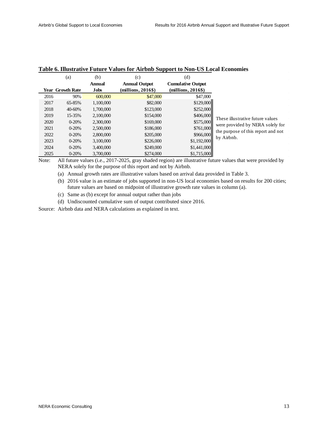|      | (a)                     | (b)         | (c)                  | (d)                      |                                    |
|------|-------------------------|-------------|----------------------|--------------------------|------------------------------------|
|      |                         | Annual      | <b>Annual Output</b> | <b>Cumulative Output</b> |                                    |
|      | <b>Year Growth Rate</b> | <b>Jobs</b> | $(millions, 2016\$   | $(millions, 2016\$       |                                    |
| 2016 | 90%                     | 600,000     | \$47,000             | \$47,000                 |                                    |
| 2017 | 65-85%                  | 1,100,000   | \$82,000             | \$129,000                |                                    |
| 2018 | 40-60%                  | 1,700,000   | \$123,000            | \$252,000                |                                    |
| 2019 | 15-35%                  | 2.100,000   | \$154,000            | \$406,000                | These illustrative future values   |
| 2020 | $0-20%$                 | 2,300,000   | \$169,000            | \$575,000                | were provided by NERA solely for   |
| 2021 | $0 - 20%$               | 2,500,000   | \$186,000            | \$761,000                | the purpose of this report and not |
| 2022 | $0 - 20%$               | 2,800,000   | \$205,000            | \$966,000                | by Airbnb.                         |
| 2023 | $0 - 20%$               | 3,100,000   | \$226,000            | \$1,192,000              |                                    |
| 2024 | $0 - 20%$               | 3.400,000   | \$249,000            | \$1,441,000              |                                    |
| 2025 | $0 - 20%$               | 3,700,000   | \$274,000            | \$1,715,000              |                                    |

#### <span id="page-16-0"></span>**Table 6. Illustrative Future Values for Airbnb Support to Non-US Local Economies**

Note: All future values (i.e., 2017-2025, gray shaded region) are illustrative future values that were provided by NERA solely for the purpose of this report and not by Airbnb.

(a) Annual growth rates are illustrative values based on arrival data provided in [Table 3.](#page-14-0)

(b) 2016 value is an estimate of jobs supported in non-US local economies based on results for 200 cities; future values are based on midpoint of illustrative growth rate values in column (a).

(c) Same as (b) except for annual output rather than jobs

(d) Undiscounted cumulative sum of output contributed since 2016.

Source: Airbnb data and NERA calculations as explained in text.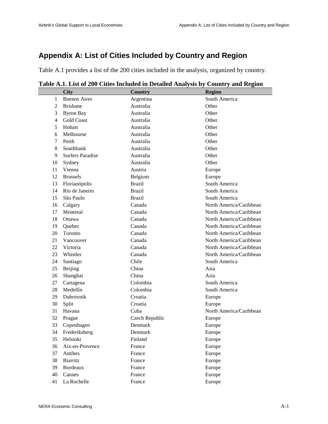# **Appendix A: List of Cities Included by Country and Region**

[Table A.1](#page-17-0) provides a list of the 200 cities included in the analysis, organized by country.

|                | <b>City</b>             | <b>Country</b> | <b>Region</b>           |
|----------------|-------------------------|----------------|-------------------------|
| 1              | <b>Buenos Aires</b>     | Argentina      | South America           |
| $\overline{2}$ | <b>Brisbane</b>         | Australia      | Other                   |
| 3              | <b>Byron Bay</b>        | Australia      | Other                   |
| $\overline{4}$ | <b>Gold Coast</b>       | Australia      | Other                   |
| 5              | Hobart                  | Australia      | Other                   |
| 6              | Melbourne               | Australia      | Other                   |
| 7              | Perth                   | Australia      | Other                   |
| 8              | Southbank               | Australia      | Other                   |
| 9              | <b>Surfers Paradise</b> | Australia      | Other                   |
| 10             | Sydney                  | Australia      | Other                   |
| 11             | Vienna                  | Austria        | Europe                  |
| 12             | <b>Brussels</b>         | Belgium        | Europe                  |
| 13             | Florianópolis           | <b>Brazil</b>  | South America           |
| 14             | Rio de Janeiro          | <b>Brazil</b>  | South America           |
| 15             | São Paulo               | <b>Brazil</b>  | South America           |
| 16             | Calgary                 | Canada         | North America/Caribbean |
| 17             | Montreal                | Canada         | North America/Caribbean |
| 18             | Ottawa                  | Canada         | North America/Caribbean |
| 19             | Quebec                  | Canada         | North America/Caribbean |
| 20             | Toronto                 | Canada         | North America/Caribbean |
| 21             | Vancouver               | Canada         | North America/Caribbean |
| 22             | Victoria                | Canada         | North America/Caribbean |
| 23             | Whistler                | Canada         | North America/Caribbean |
| 24             | Santiago                | Chile          | South America           |
| 25             | Beijing                 | China          | Asia                    |
| 26             | Shanghai                | China          | Asia                    |
| 27             | Cartagena               | Colombia       | South America           |
| 28             | Medellín                | Colombia       | South America           |
| 29             | Dubrovnik               | Croatia        | Europe                  |
| 30             | Split                   | Croatia        | Europe                  |
| 31             | Havana                  | Cuba           | North America/Caribbean |
| 32             | Prague                  | Czech Republic | Europe                  |
| 33             | Copenhagen              | Denmark        | Europe                  |
| 34             | Frederiksberg           | Denmark        | Europe                  |
| 35             | Helsinki                | Finland        | Europe                  |
| 36             | Aix-en-Provence         | France         | Europe                  |
| 37             | Antibes                 | France         | Europe                  |
| 38             | Biarritz                | France         | Europe                  |
| 39             | Bordeaux                | France         | Europe                  |
| 40             | Cannes                  | France         | Europe                  |
| 41             | La Rochelle             | France         | Europe                  |

<span id="page-17-0"></span>**Table A.1. List of 200 Cities Included in Detailed Analysis by Country and Region**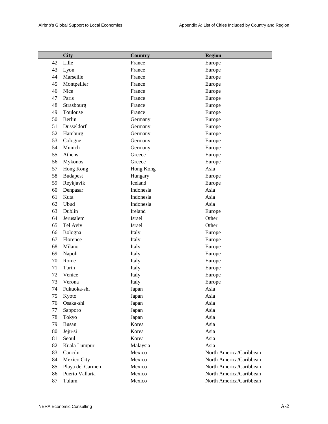|    | <b>City</b>      | <b>Country</b> | <b>Region</b>           |
|----|------------------|----------------|-------------------------|
| 42 | Lille            | France         | Europe                  |
| 43 | Lyon             | France         | Europe                  |
| 44 | Marseille        | France         | Europe                  |
| 45 | Montpellier      | France         | Europe                  |
| 46 | Nice             | France         | Europe                  |
| 47 | Paris            | France         | Europe                  |
| 48 | Strasbourg       | France         | Europe                  |
| 49 | Toulouse         | France         | Europe                  |
| 50 | Berlin           | Germany        | Europe                  |
| 51 | Düsseldorf       | Germany        | Europe                  |
| 52 | Hamburg          | Germany        | Europe                  |
| 53 | Cologne          | Germany        | Europe                  |
| 54 | Munich           | Germany        | Europe                  |
| 55 | Athens           | Greece         | Europe                  |
| 56 | Mykonos          | Greece         | Europe                  |
| 57 | Hong Kong        | Hong Kong      | Asia                    |
| 58 | <b>Budapest</b>  | Hungary        | Europe                  |
| 59 | Reykjavik        | Iceland        | Europe                  |
| 60 | Denpasar         | Indonesia      | Asia                    |
| 61 | Kuta             | Indonesia      | Asia                    |
| 62 | Ubud             | Indonesia      | Asia                    |
| 63 | Dublin           | Ireland        | Europe                  |
| 64 | Jerusalem        | Israel         | Other                   |
| 65 | Tel Aviv         | Israel         | Other                   |
| 66 | Bologna          | Italy          | Europe                  |
| 67 | Florence         | Italy          | Europe                  |
| 68 | Milano           | Italy          | Europe                  |
| 69 | Napoli           | Italy          | Europe                  |
| 70 | Rome             | Italy          | Europe                  |
| 71 | Turin            | Italy          | Europe                  |
| 72 | Venice           | Italy          | Europe                  |
| 73 | Verona           | Italy          | Europe                  |
| 74 | Fukuoka-shi      | Japan          | Asia                    |
| 75 | Kyoto            | Japan          | Asia                    |
| 76 | Osaka-shi        | Japan          | Asia                    |
| 77 | Sapporo          | Japan          | Asia                    |
| 78 | Tokyo            | Japan          | Asia                    |
| 79 | <b>Busan</b>     | Korea          | Asia                    |
| 80 | Jeju-si          | Korea          | Asia                    |
| 81 | Seoul            | Korea          | Asia                    |
| 82 | Kuala Lumpur     | Malaysia       | Asia                    |
| 83 | Cancún           | Mexico         | North America/Caribbean |
| 84 | Mexico City      | Mexico         | North America/Caribbean |
| 85 | Playa del Carmen | Mexico         | North America/Caribbean |
| 86 | Puerto Vallarta  | Mexico         | North America/Caribbean |
| 87 | Tulum            | Mexico         | North America/Caribbean |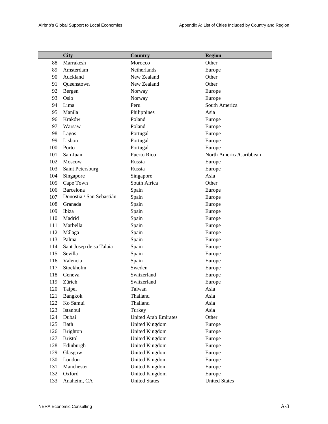|     | <b>City</b>              | <b>Country</b>              | <b>Region</b>           |
|-----|--------------------------|-----------------------------|-------------------------|
| 88  | Marrakesh                | Morocco                     | Other                   |
| 89  | Amsterdam                | Netherlands                 | Europe                  |
| 90  | Auckland                 | New Zealand                 | Other                   |
| 91  | Queenstown               | New Zealand                 | Other                   |
| 92  | Bergen                   | Norway                      | Europe                  |
| 93  | Oslo                     | Norway                      | Europe                  |
| 94  | Lima                     | Peru                        | South America           |
| 95  | Manila                   | Philippines                 | Asia                    |
| 96  | Kraków                   | Poland                      | Europe                  |
| 97  | Warsaw                   | Poland                      | Europe                  |
| 98  | Lagos                    | Portugal                    | Europe                  |
| 99  | Lisbon                   | Portugal                    | Europe                  |
| 100 | Porto                    | Portugal                    | Europe                  |
| 101 | San Juan                 | Puerto Rico                 | North America/Caribbean |
| 102 | Moscow                   | Russia                      | Europe                  |
| 103 | Saint Petersburg         | Russia                      | Europe                  |
| 104 | Singapore                | Singapore                   | Asia                    |
| 105 | Cape Town                | South Africa                | Other                   |
| 106 | Barcelona                | Spain                       | Europe                  |
| 107 | Donostia / San Sebastián | Spain                       | Europe                  |
| 108 | Granada                  | Spain                       | Europe                  |
| 109 | Ibiza                    | Spain                       | Europe                  |
| 110 | Madrid                   | Spain                       | Europe                  |
| 111 | Marbella                 | Spain                       | Europe                  |
| 112 | Málaga                   | Spain                       | Europe                  |
| 113 | Palma                    | Spain                       | Europe                  |
| 114 | Sant Josep de sa Talaia  | Spain                       | Europe                  |
| 115 | Sevilla                  | Spain                       | Europe                  |
| 116 | Valencia                 | Spain                       | Europe                  |
| 117 | Stockholm                | Sweden                      | Europe                  |
| 118 | Geneva                   | Switzerland                 | Europe                  |
| 119 | Zürich                   | Switzerland                 | Europe                  |
| 120 | Taipei                   | Taiwan                      | Asia                    |
| 121 | <b>Bangkok</b>           | Thailand                    | Asia                    |
| 122 | Ko Samui                 | Thailand                    | Asia                    |
| 123 | Istanbul                 | Turkey                      | Asia                    |
| 124 | Dubai                    | <b>United Arab Emirates</b> | Other                   |
| 125 | Bath                     | United Kingdom              | Europe                  |
| 126 | <b>Brighton</b>          | <b>United Kingdom</b>       | Europe                  |
| 127 | <b>Bristol</b>           | United Kingdom              | Europe                  |
| 128 | Edinburgh                | <b>United Kingdom</b>       | Europe                  |
| 129 | Glasgow                  | <b>United Kingdom</b>       | Europe                  |
| 130 | London                   | United Kingdom              | Europe                  |
| 131 | Manchester               | <b>United Kingdom</b>       | Europe                  |
| 132 | Oxford                   | <b>United Kingdom</b>       | Europe                  |
| 133 | Anaheim, CA              | <b>United States</b>        | <b>United States</b>    |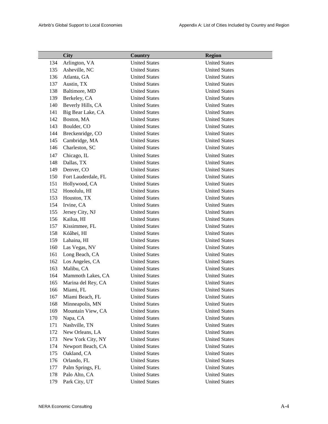|            | <b>City</b>                       | Country                                      | <b>Region</b>                                |
|------------|-----------------------------------|----------------------------------------------|----------------------------------------------|
| 134        | Arlington, VA                     | <b>United States</b>                         | <b>United States</b>                         |
| 135        | Asheville, NC                     | <b>United States</b>                         | <b>United States</b>                         |
| 136        | Atlanta, GA                       | <b>United States</b>                         | <b>United States</b>                         |
| 137        | Austin, TX                        | <b>United States</b>                         | <b>United States</b>                         |
| 138        | Baltimore, MD                     | <b>United States</b>                         | <b>United States</b>                         |
| 139        | Berkeley, CA                      | <b>United States</b>                         | <b>United States</b>                         |
| 140        | Beverly Hills, CA                 | <b>United States</b>                         | <b>United States</b>                         |
| 141        | Big Bear Lake, CA                 | <b>United States</b>                         | <b>United States</b>                         |
| 142        | Boston, MA                        | <b>United States</b>                         | <b>United States</b>                         |
| 143        | Boulder, CO                       | <b>United States</b>                         | <b>United States</b>                         |
| 144        | Breckenridge, CO                  | <b>United States</b>                         | <b>United States</b>                         |
| 145        | Cambridge, MA                     | <b>United States</b>                         | <b>United States</b>                         |
| 146        | Charleston, SC                    | <b>United States</b>                         | <b>United States</b>                         |
| 147        | Chicago, IL                       | <b>United States</b>                         | <b>United States</b>                         |
| 148        | Dallas, TX                        | <b>United States</b>                         | <b>United States</b>                         |
| 149        | Denver, CO                        | <b>United States</b>                         | <b>United States</b>                         |
| 150        | Fort Lauderdale, FL               | <b>United States</b>                         | <b>United States</b>                         |
| 151        | Hollywood, CA                     | <b>United States</b>                         | <b>United States</b>                         |
| 152        | Honolulu, HI                      | <b>United States</b>                         | <b>United States</b>                         |
| 153        | Houston, TX                       | <b>United States</b>                         | <b>United States</b>                         |
| 154        | Irvine, CA                        | <b>United States</b>                         | <b>United States</b>                         |
| 155        | Jersey City, NJ                   | <b>United States</b>                         | <b>United States</b>                         |
| 156        | Kailua, HI                        | <b>United States</b>                         | <b>United States</b>                         |
| 157        | Kissimmee, FL                     | <b>United States</b>                         | <b>United States</b>                         |
| 158        | Kóâhei, HI                        | <b>United States</b>                         | <b>United States</b>                         |
| 159        | Lahaina, HI                       | <b>United States</b>                         | <b>United States</b>                         |
| 160        | Las Vegas, NV                     | <b>United States</b>                         | <b>United States</b>                         |
| 161        | Long Beach, CA                    | <b>United States</b>                         | <b>United States</b>                         |
| 162        | Los Angeles, CA                   | <b>United States</b>                         | <b>United States</b>                         |
| 163        | Malibu, CA                        | <b>United States</b>                         | <b>United States</b>                         |
| 164        | Mammoth Lakes, CA                 | <b>United States</b>                         | <b>United States</b>                         |
| 165        | Marina del Rey, CA                | <b>United States</b>                         | <b>United States</b>                         |
| 166        | Miami, FL                         | <b>United States</b>                         | <b>United States</b>                         |
| 167        | Miami Beach, FL                   | <b>United States</b>                         | <b>United States</b>                         |
| 168        | Minneapolis, MN                   | <b>United States</b>                         | <b>United States</b>                         |
| 169        | Mountain View, CA                 | <b>United States</b>                         | <b>United States</b>                         |
| 170        | Napa, CA                          | <b>United States</b>                         | <b>United States</b>                         |
| 171        | Nashville, TN                     | <b>United States</b>                         | <b>United States</b>                         |
| 172        | New Orleans, LA                   | <b>United States</b>                         | <b>United States</b>                         |
| 173        | New York City, NY                 | <b>United States</b>                         | <b>United States</b>                         |
| 174        | Newport Beach, CA                 | <b>United States</b>                         | <b>United States</b>                         |
| 175        | Oakland, CA                       | <b>United States</b>                         | <b>United States</b>                         |
| 176        | Orlando, FL                       | <b>United States</b>                         | <b>United States</b>                         |
| 177        | Palm Springs, FL<br>Palo Alto, CA | <b>United States</b><br><b>United States</b> | <b>United States</b><br><b>United States</b> |
| 178<br>179 | Park City, UT                     | <b>United States</b>                         | <b>United States</b>                         |
|            |                                   |                                              |                                              |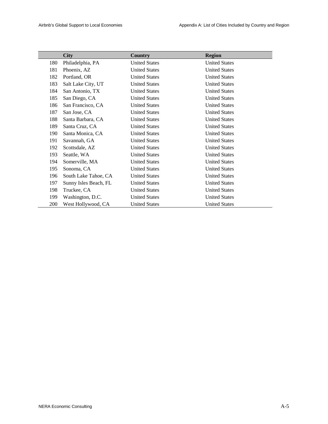|     | <b>City</b>           | Country              | <b>Region</b>        |
|-----|-----------------------|----------------------|----------------------|
| 180 | Philadelphia, PA      | <b>United States</b> | <b>United States</b> |
| 181 | Phoenix, AZ           | <b>United States</b> | <b>United States</b> |
| 182 | Portland, OR          | <b>United States</b> | <b>United States</b> |
| 183 | Salt Lake City, UT    | <b>United States</b> | <b>United States</b> |
| 184 | San Antonio, TX       | <b>United States</b> | <b>United States</b> |
| 185 | San Diego, CA         | <b>United States</b> | <b>United States</b> |
| 186 | San Francisco, CA     | <b>United States</b> | <b>United States</b> |
| 187 | San Jose, CA          | <b>United States</b> | <b>United States</b> |
| 188 | Santa Barbara, CA     | <b>United States</b> | <b>United States</b> |
| 189 | Santa Cruz, CA        | <b>United States</b> | <b>United States</b> |
| 190 | Santa Monica, CA      | <b>United States</b> | <b>United States</b> |
| 191 | Savannah, GA          | <b>United States</b> | <b>United States</b> |
| 192 | Scottsdale, AZ        | <b>United States</b> | <b>United States</b> |
| 193 | Seattle, WA           | <b>United States</b> | <b>United States</b> |
| 194 | Somerville, MA        | <b>United States</b> | <b>United States</b> |
| 195 | Sonoma, CA            | <b>United States</b> | <b>United States</b> |
| 196 | South Lake Tahoe, CA  | <b>United States</b> | <b>United States</b> |
| 197 | Sunny Isles Beach, FL | <b>United States</b> | <b>United States</b> |
| 198 | Truckee, CA           | <b>United States</b> | <b>United States</b> |
| 199 | Washington, D.C.      | <b>United States</b> | <b>United States</b> |
| 200 | West Hollywood, CA    | <b>United States</b> | <b>United States</b> |